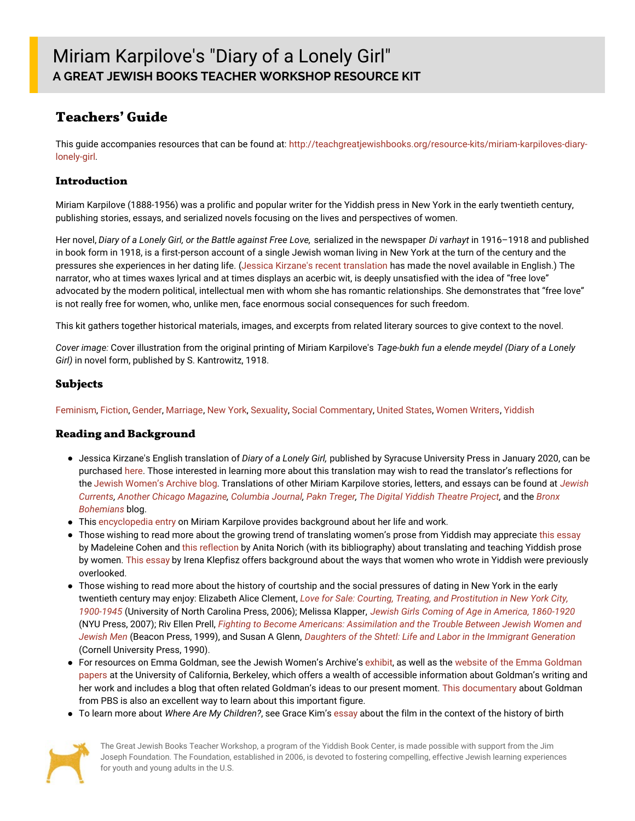# **Teachers' Guide**

This guide accompanies resources that can be found at: [http://teachgreatjewishbooks.org/resource-kits/miriam-karpiloves-diary](http://teachgreatjewishbooks.org/resource-kits/miriam-karpiloves-diary-lonely-girl)lonely-girl.

#### **Introduction**

Miriam Karpilove (1888-1956) was a prolific and popular writer for the Yiddish press in New York in the early twentieth century, publishing stories, essays, and serialized novels focusing on the lives and perspectives of women.

Her novel, *Diary of a Lonely Girl, or the Battle against Free Love,* serialized in the newspaper *Di varhayt* in 1916–1918 and published in book form in 1918, is a first-person account of a single Jewish woman living in New York at the turn of the century and the pressures she experiences in her dating life. (Jessica Kirzane's recent [translation](https://press.syr.edu/supressbooks/2512/diary-of-a-lonely-girl-or-the-battle-against-free-love/) has made the novel available in English.) The narrator, who at times waxes lyrical and at times displays an acerbic wit, is deeply unsatisfied with the idea of "free love" advocated by the modern political, intellectual men with whom she has romantic relationships. She demonstrates that "free love" is not really free for women, who, unlike men, face enormous social consequences for such freedom.

This kit gathers together historical materials, images, and excerpts from related literary sources to give context to the novel.

*Cover image:* Cover illustration from the original printing of Miriam Karpilove's *Tage-bukh fun a elende meydel (Diary of a Lonely Girl)* in novel form, published by S. Kantrowitz, 1918.

#### **Subjects**

[Feminism](file:///subject/feminism), [Fiction](file:///subject/fiction), [Gender](file:///subject/gender), [Marriage](file:///subject/marriage), [New](file:///subject/new-york) York, [Sexuality](file:///subject/sexuality), Social [Commentary](file:///subject/social-commentary), [United](file:///subject/united-states) States, [Women](file:///subject/women-writers) Writers, [Yiddish](file:///subject/yiddish)

#### **Reading and Background**

- Jessica Kirzane's English translation of *Diary of a Lonely Girl,* published by Syracuse University Press in January 2020, can be purchased [here](https://press.syr.edu/supressbooks/2512/diary-of-a-lonely-girl-or-the-battle-against-free-love/). Those interested in learning more about this translation may wish to read the translator's reflections for the Jewish [Women's](https://jwa.org/blog/bookclub/jessica-kirzane-diary-lonely-girl) Archive blog. [Translations](https://jewishcurrents.org/new-yorks-first-time-women-voters/) of other Miriam Karpilove stories, letters, and essays can be found at *Jewish* Currents, Another Chicago [Magazine](https://anotherchicagomagazine.net/2020/04/21/chicago-by-miriam-karpilov-translated-from-the-yiddish-by-jessica-kirzane/), [Columbia](http://columbiajournal.org/freydl-by-miriam-karpilove-translated-from-yiddish/) Journal, Pakn [Treger](https://www.yiddishbookcenter.org/2019-pakn-treger-translation-issue/excerpt-provincial-newspaper), The Digital Yiddish [Theatre](https://web.uwm.edu/yiddish-stage/theatre-a-sketch) Project, and the Bronx *[Bohemians](https://www.yiddishbookcenter.org/language-literature-culture/bronx-bohemians/miriam-karpilove-s-fomo?fbclid=IwAR1AlFK9oOGtiAx9sYRz40lCrE_wMdn-uMNWFyBb_ieW0lV9V3oIrmVDD8A)* blog.
- This [encyclopedia](https://jwa.org/encyclopedia/article/karpilove-miriam) entry on Miriam Karpilove provides background about her life and work.
- Those wishing to read more about the growing trend of translating women's prose from Yiddish may appreciate this [essay](https://lareviewofbooks.org/article/the-feminine-ending-on-womens-writing-in-yiddish-now-available-in-english/) by Madeleine Cohen and this [reflection](https://ingeveb.org/blog/translating-and-teaching-yiddish-prose-by-women) by Anita Norich (with its bibliography) about translating and teaching Yiddish prose by women. This [essay](https://ingeveb.org/blog/the-2087th-question-or-when-silence-is-the-only-answer) by Irena Klepfisz offers background about the ways that women who wrote in Yiddish were previously overlooked.
- Those wishing to read more about the history of courtship and the social pressures of dating in New York in the early twentieth century may enjoy: Elizabeth Alice Clement, *Love for Sale: Courting, Treating, and [Prostitution](https://uncpress.org/book/9780807856901/love-for-sale/) in New York City, 1900-1945* (University of North Carolina Press, 2006); Melissa Klapper, *Jewish Girls Coming of Age in America, [1860-1920](https://nyupress.org/9780814748084/jewish-girls-coming-of-age-in-america-1860-1920/)* (NYU Press, 2007); Riv Ellen Prell, *Fighting to Become Americans: [Assimilation](http://www.beacon.org/Fighting-to-Become-Americans-P309.aspx) and the Trouble Between Jewish Women and Jewish Men* (Beacon Press, 1999), and Susan A Glenn, *Daughters of the Shtetl: Life and Labor in the Immigrant [Generation](https://www.cornellpress.cornell.edu/book/9780801497599/daughters-of-the-shtetl/#bookTabs=1)* (Cornell University Press, 1990).
- For resources on Emma Goldman, see the Jewish Women's Archive's [exhibit](https://jwa.org/womenofvalor/goldman), as well as the website of the Emma Goldman papers at the University of California, Berkeley, which offers a wealth of accessible [information](https://www.lib.berkeley.edu/goldman/) about Goldman's writing and her work and includes a blog that often related Goldman's ideas to our present moment. This [documentary](https://www.pbs.org/wgbh/americanexperience/films/goldman/) about Goldman from PBS is also an excellent way to learn about this important figure.
- To learn more about *Where Are My Children?*, see Grace Kim's [essay](https://embryo.asu.edu/pages/where-are-my-children-1916) about the film in the context of the history of birth



The Great Jewish Books Teacher Workshop, a program of the Yiddish Book Center, is made possible with support from the Jim Joseph Foundation. The Foundation, established in 2006, is devoted to fostering compelling, effective Jewish learning experiences for youth and young adults in the U.S.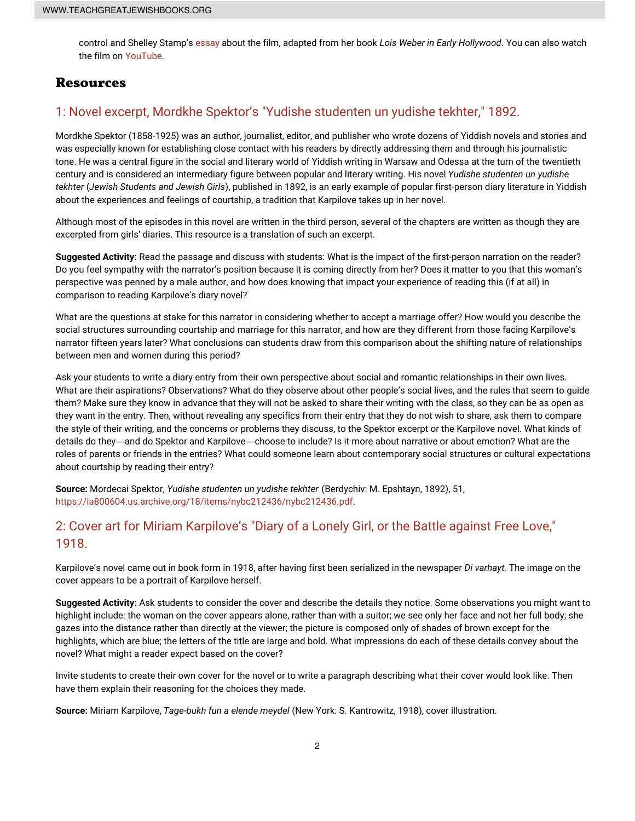control and Shelley Stamp's [essay](https://www.loc.gov/static/programs/national-film-preservation-board/documents/where_children_2.pdf) about the film, adapted from her book *Lois Weber in Early Hollywood*. You can also watch the film on [YouTube](https://www.youtube.com/watch?v=X3iqQLTaHBU).

#### **Resources**

## 1: Novel excerpt, Mordkhe Spektor's "Yudishe [studenten](file:///1-novel-excerpt-mordkhe-spektors-yudishe-studenten-un-yudishe-tekhter-1892) un yudishe tekhter," 1892.

Mordkhe Spektor (1858-1925) was an author, journalist, editor, and publisher who wrote dozens of Yiddish novels and stories and was especially known for establishing close contact with his readers by directly addressing them and through his journalistic tone. He was a central figure in the social and literary world of Yiddish writing in Warsaw and Odessa at the turn of the twentieth century and is considered an intermediary figure between popular and literary writing. His novel *Yudishe studenten un yudishe tekhter* (*Jewish Students and Jewish Girls*), published in 1892, is an early example of popular first-person diary literature in Yiddish about the experiences and feelings of courtship, a tradition that Karpilove takes up in her novel.

Although most of the episodes in this novel are written in the third person, several of the chapters are written as though they are excerpted from girls' diaries. This resource is a translation of such an excerpt.

**Suggested Activity:** Read the passage and discuss with students: What is the impact of the first-person narration on the reader? Do you feel sympathy with the narrator's position because it is coming directly from her? Does it matter to you that this woman's perspective was penned by a male author, and how does knowing that impact your experience of reading this (if at all) in comparison to reading Karpilove's diary novel?

What are the questions at stake for this narrator in considering whether to accept a marriage offer? How would you describe the social structures surrounding courtship and marriage for this narrator, and how are they different from those facing Karpilove's narrator fifteen years later? What conclusions can students draw from this comparison about the shifting nature of relationships between men and women during this period?

Ask your students to write a diary entry from their own perspective about social and romantic relationships in their own lives. What are their aspirations? Observations? What do they observe about other people's social lives, and the rules that seem to guide them? Make sure they know in advance that they will not be asked to share their writing with the class, so they can be as open as they want in the entry. Then, without revealing any specifics from their entry that they do not wish to share, ask them to compare the style of their writing, and the concerns or problems they discuss, to the Spektor excerpt or the Karpilove novel. What kinds of details do they—and do Spektor and Karpilove—choose to include? Is it more about narrative or about emotion? What are the roles of parents or friends in the entries? What could someone learn about contemporary social structures or cultural expectations about courtship by reading their entry?

**Source:** Mordecai Spektor, *Yudishe studenten un yudishe tekhter* (Berdychiv: M. Epshtayn, 1892), 51, <https://ia800604.us.archive.org/18/items/nybc212436/nybc212436.pdf>.

### 2: Cover art for Miriam [Karpilove's](file:///2-cover-art-miriam-karpiloves-diary-lonely-girl-or-battle-against-free-love-1918) "Diary of a Lonely Girl, or the Battle against Free Love," 1918.

Karpilove's novel came out in book form in 1918, after having first been serialized in the newspaper *Di varhayt.* The image on the cover appears to be a portrait of Karpilove herself.

**Suggested Activity:** Ask students to consider the cover and describe the details they notice. Some observations you might want to highlight include: the woman on the cover appears alone, rather than with a suitor; we see only her face and not her full body; she gazes into the distance rather than directly at the viewer; the picture is composed only of shades of brown except for the highlights, which are blue; the letters of the title are large and bold. What impressions do each of these details convey about the novel? What might a reader expect based on the cover?

Invite students to create their own cover for the novel or to write a paragraph describing what their cover would look like. Then have them explain their reasoning for the choices they made.

**Source:** Miriam Karpilove, *Tage-bukh fun a elende meydel* (New York: S. Kantrowitz, 1918), cover illustration.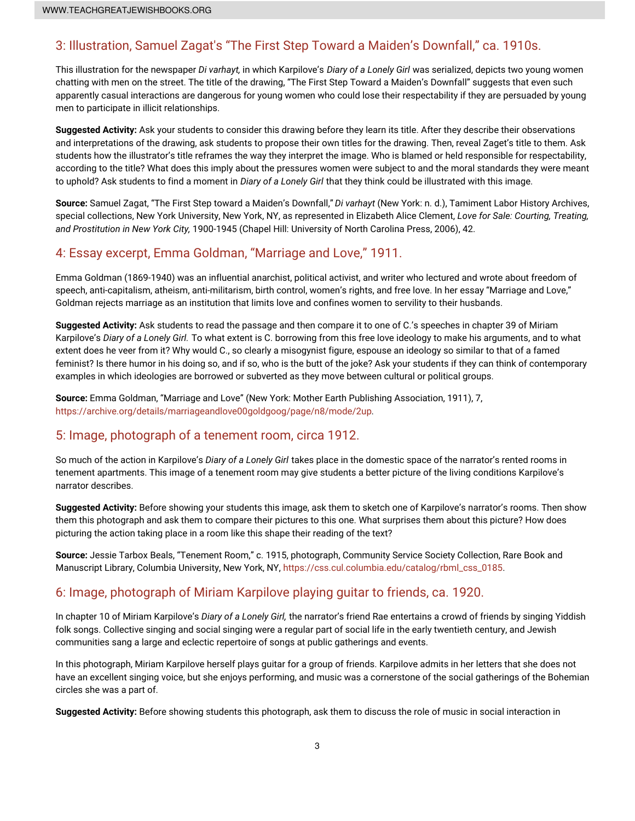# 3: [Illustration,](file:///3-illustration-samuel-zagats-first-step-toward-maidens-downfall-ca-1910s) Samuel Zagat's "The First Step Toward a Maiden's Downfall," ca. 1910s.

This illustration for the newspaper *Di varhayt,* in which Karpilove's *Diary of a Lonely Girl* was serialized, depicts two young women chatting with men on the street. The title of the drawing, "The First Step Toward a Maiden's Downfall" suggests that even such apparently casual interactions are dangerous for young women who could lose their respectability if they are persuaded by young men to participate in illicit relationships.

**Suggested Activity:** Ask your students to consider this drawing before they learn its title. After they describe their observations and interpretations of the drawing, ask students to propose their own titles for the drawing. Then, reveal Zaget's title to them. Ask students how the illustrator's title reframes the way they interpret the image. Who is blamed or held responsible for respectability, according to the title? What does this imply about the pressures women were subject to and the moral standards they were meant to uphold? Ask students to find a moment in *Diary of a Lonely Girl* that they think could be illustrated with this image.

**Source:** Samuel Zagat, "The First Step toward a Maiden's Downfall," *Di varhayt* (New York: n. d.), Tamiment Labor History Archives, special collections, New York University, New York, NY, as represented in Elizabeth Alice Clement, *Love for Sale: Courting, Treating, and Prostitution in New York City,* 1900-1945 (Chapel Hill: University of North Carolina Press, 2006), 42.

# 4: Essay excerpt, Emma Goldman, ["Marriage](file:///4-essay-excerpt-emma-goldman-marriage-and-love-1911) and Love," 1911.

Emma Goldman (1869-1940) was an influential anarchist, political activist, and writer who lectured and wrote about freedom of speech, anti-capitalism, atheism, anti-militarism, birth control, women's rights, and free love. In her essay "Marriage and Love," Goldman rejects marriage as an institution that limits love and confines women to servility to their husbands.

**Suggested Activity:** Ask students to read the passage and then compare it to one of C.'s speeches in chapter 39 of Miriam Karpilove's *Diary of a Lonely Girl.* To what extent is C. borrowing from this free love ideology to make his arguments, and to what extent does he veer from it? Why would C., so clearly a misogynist figure, espouse an ideology so similar to that of a famed feminist? Is there humor in his doing so, and if so, who is the butt of the joke? Ask your students if they can think of contemporary examples in which ideologies are borrowed or subverted as they move between cultural or political groups.

**Source:** Emma Goldman, "Marriage and Love" (New York: Mother Earth Publishing Association, 1911), 7, <https://archive.org/details/marriageandlove00goldgoog/page/n8/mode/2up>.

# 5: Image, [photograph](file:///5-image-photograph-tenement-room-circa-1912) of a tenement room, circa 1912.

So much of the action in Karpilove's *Diary of a Lonely Girl* takes place in the domestic space of the narrator's rented rooms in tenement apartments. This image of a tenement room may give students a better picture of the living conditions Karpilove's narrator describes.

**Suggested Activity:** Before showing your students this image, ask them to sketch one of Karpilove's narrator's rooms. Then show them this photograph and ask them to compare their pictures to this one. What surprises them about this picture? How does picturing the action taking place in a room like this shape their reading of the text?

**Source:** Jessie Tarbox Beals, "Tenement Room," c. 1915, photograph, Community Service Society Collection, Rare Book and Manuscript Library, Columbia University, New York, NY, [https://css.cul.columbia.edu/catalog/rbml\\_css\\_0185](https://css.cul.columbia.edu/catalog/rbml_css_0185).

## 6: Image, [photograph](file:///6-image-photograph-miriam-karpilove-playing-guitar-friends-ca-1920) of Miriam Karpilove playing guitar to friends, ca. 1920.

In chapter 10 of Miriam Karpilove's *Diary of a Lonely Girl,* the narrator's friend Rae entertains a crowd of friends by singing Yiddish folk songs. Collective singing and social singing were a regular part of social life in the early twentieth century, and Jewish communities sang a large and eclectic repertoire of songs at public gatherings and events.

In this photograph, Miriam Karpilove herself plays guitar for a group of friends. Karpilove admits in her letters that she does not have an excellent singing voice, but she enjoys performing, and music was a cornerstone of the social gatherings of the Bohemian circles she was a part of.

**Suggested Activity:** Before showing students this photograph, ask them to discuss the role of music in social interaction in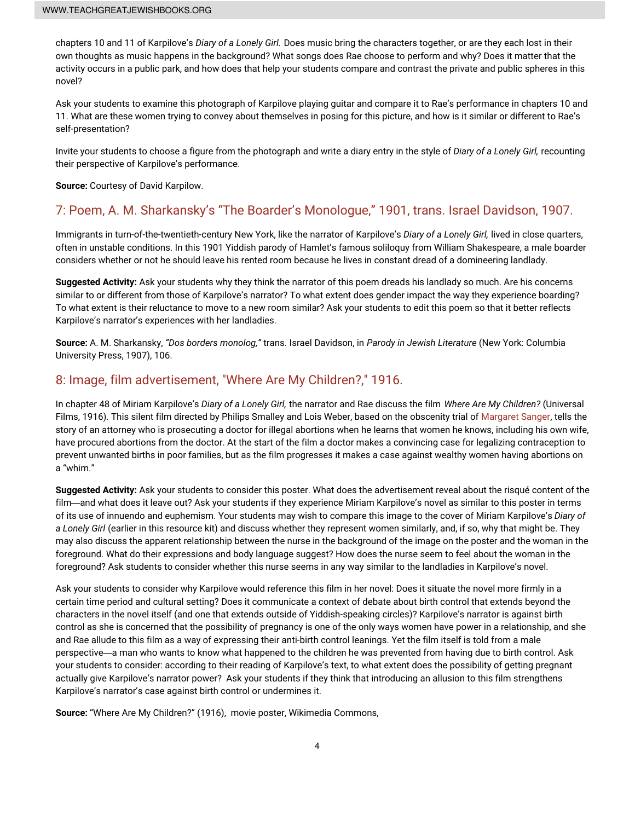chapters 10 and 11 of Karpilove's *Diary of a Lonely Girl.* Does music bring the characters together, or are they each lost in their own thoughts as music happens in the background? What songs does Rae choose to perform and why? Does it matter that the activity occurs in a public park, and how does that help your students compare and contrast the private and public spheres in this novel?

Ask your students to examine this photograph of Karpilove playing guitar and compare it to Rae's performance in chapters 10 and 11. What are these women trying to convey about themselves in posing for this picture, and how is it similar or different to Rae's self-presentation?

Invite your students to choose a figure from the photograph and write a diary entry in the style of *Diary of a Lonely Girl,* recounting their perspective of Karpilove's performance.

**Source:** Courtesy of David Karpilow.

### 7: Poem, A. M. [Sharkansky's](file:///7-poem-m-sharkanskys-boarders-monologue-1901-trans-israel-davidson-1907) "The Boarder's Monologue," 1901, trans. Israel Davidson, 1907.

Immigrants in turn-of-the-twentieth-century New York, like the narrator of Karpilove's *Diary of a Lonely Girl,* lived in close quarters, often in unstable conditions. In this 1901 Yiddish parody of Hamlet's famous soliloquy from William Shakespeare, a male boarder considers whether or not he should leave his rented room because he lives in constant dread of a domineering landlady.

**Suggested Activity:** Ask your students why they think the narrator of this poem dreads his landlady so much. Are his concerns similar to or different from those of Karpilove's narrator? To what extent does gender impact the way they experience boarding? To what extent is their reluctance to move to a new room similar? Ask your students to edit this poem so that it better reflects Karpilove's narrator's experiences with her landladies.

**Source:** A. M. Sharkansky, *"Dos borders monolog,"* trans. Israel Davidson, in *Parody in Jewish Literature* (New York: Columbia University Press, 1907), 106.

### 8: Image, film [advertisement,](file:///8-image-film-advertisement-where-are-my-children-1916) "Where Are My Children?," 1916.

In chapter 48 of Miriam Karpilove's *Diary of a Lonely Girl,* the narrator and Rae discuss the film *Where Are My Children?* (Universal Films, 1916). This silent film directed by Philips Smalley and Lois Weber, based on the obscenity trial of [Margaret](https://www.womenshistory.org/education-resources/biographies/margaret-sanger) Sanger, tells the story of an attorney who is prosecuting a doctor for illegal abortions when he learns that women he knows, including his own wife, have procured abortions from the doctor. At the start of the film a doctor makes a convincing case for legalizing contraception to prevent unwanted births in poor families, but as the film progresses it makes a case against wealthy women having abortions on a "whim."

**Suggested Activity:** Ask your students to consider this poster. What does the advertisement reveal about the risqué content of the film—and what does it leave out? Ask your students if they experience Miriam Karpilove's novel as similar to this poster in terms of its use of innuendo and euphemism. Your students may wish to compare this image to the cover of Miriam Karpilove's *Diary of a Lonely Girl* (earlier in this resource kit) and discuss whether they represent women similarly, and, if so, why that might be. They may also discuss the apparent relationship between the nurse in the background of the image on the poster and the woman in the foreground. What do their expressions and body language suggest? How does the nurse seem to feel about the woman in the foreground? Ask students to consider whether this nurse seems in any way similar to the landladies in Karpilove's novel.

Ask your students to consider why Karpilove would reference this film in her novel: Does it situate the novel more firmly in a certain time period and cultural setting? Does it communicate a context of debate about birth control that extends beyond the characters in the novel itself (and one that extends outside of Yiddish-speaking circles)? Karpilove's narrator is against birth control as she is concerned that the possibility of pregnancy is one of the only ways women have power in a relationship, and she and Rae allude to this film as a way of expressing their anti-birth control leanings. Yet the film itself is told from a male perspective—a man who wants to know what happened to the children he was prevented from having due to birth control. Ask your students to consider: according to their reading of Karpilove's text, to what extent does the possibility of getting pregnant actually give Karpilove's narrator power? Ask your students if they think that introducing an allusion to this film strengthens Karpilove's narrator's case against birth control or undermines it.

**Source:** "Where Are My Children?" (1916), movie poster, Wikimedia Commons,